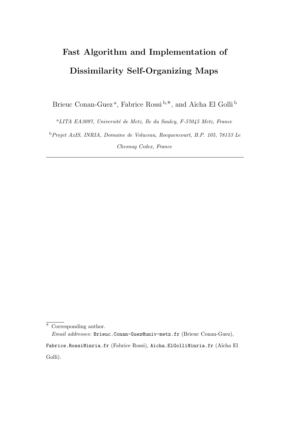# Fast Algorithm and Implementation of Dissimilarity Self-Organizing Maps

Brieuc Conan-Guez<sup>a</sup>, Fabrice Rossi<sup>b,\*</sup>, and Aïcha El Golli<sup>b</sup>

 $^{a}LITA$  EA3097, Université de Metz, Ile du Saulcy, F-57045 Metz, France

<sup>b</sup>Projet AxIS, INRIA, Domaine de Voluceau, Rocquencourt, B.P. 105, 78153 Le Chesnay Cedex, France

<sup>∗</sup> Corresponding author.

Email addresses: Brieuc.Conan-Guez@univ-metz.fr (Brieuc Conan-Guez),

Fabrice.Rossi@inria.fr (Fabrice Rossi), Aicha.ElGolli@inria.fr (Aïcha El Golli).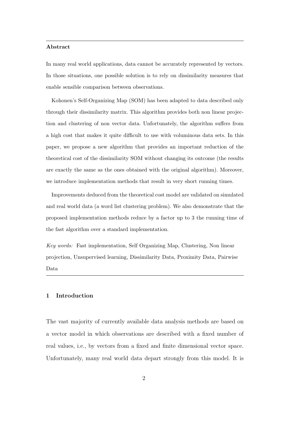#### Abstract

In many real world applications, data cannot be accurately represented by vectors. In those situations, one possible solution is to rely on dissimilarity measures that enable sensible comparison between observations.

Kohonen's Self-Organizing Map (SOM) has been adapted to data described only through their dissimilarity matrix. This algorithm provides both non linear projection and clustering of non vector data. Unfortunately, the algorithm suffers from a high cost that makes it quite difficult to use with voluminous data sets. In this paper, we propose a new algorithm that provides an important reduction of the theoretical cost of the dissimilarity SOM without changing its outcome (the results are exactly the same as the ones obtained with the original algorithm). Moreover, we introduce implementation methods that result in very short running times.

Improvements deduced from the theoretical cost model are validated on simulated and real world data (a word list clustering problem). We also demonstrate that the proposed implementation methods reduce by a factor up to 3 the running time of the fast algorithm over a standard implementation.

Key words: Fast implementation, Self Organizing Map, Clustering, Non linear projection, Unsupervised learning, Dissimilarity Data, Proximity Data, Pairwise Data

#### 1 Introduction

The vast majority of currently available data analysis methods are based on a vector model in which observations are described with a fixed number of real values, i.e., by vectors from a fixed and finite dimensional vector space. Unfortunately, many real world data depart strongly from this model. It is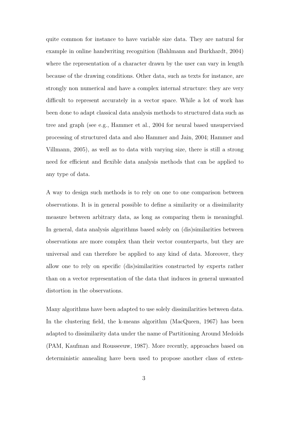quite common for instance to have variable size data. They are natural for example in online handwriting recognition (Bahlmann and Burkhardt, 2004) where the representation of a character drawn by the user can vary in length because of the drawing conditions. Other data, such as texts for instance, are strongly non numerical and have a complex internal structure: they are very difficult to represent accurately in a vector space. While a lot of work has been done to adapt classical data analysis methods to structured data such as tree and graph (see e.g., Hammer et al., 2004 for neural based unsupervised processing of structured data and also Hammer and Jain, 2004; Hammer and Villmann, 2005), as well as to data with varying size, there is still a strong need for efficient and flexible data analysis methods that can be applied to any type of data.

A way to design such methods is to rely on one to one comparison between observations. It is in general possible to define a similarity or a dissimilarity measure between arbitrary data, as long as comparing them is meaningful. In general, data analysis algorithms based solely on (dis)similarities between observations are more complex than their vector counterparts, but they are universal and can therefore be applied to any kind of data. Moreover, they allow one to rely on specific (dis)similarities constructed by experts rather than on a vector representation of the data that induces in general unwanted distortion in the observations.

Many algorithms have been adapted to use solely dissimilarities between data. In the clustering field, the k-means algorithm (MacQueen, 1967) has been adapted to dissimilarity data under the name of Partitioning Around Medoids (PAM, Kaufman and Rousseeuw, 1987). More recently, approaches based on deterministic annealing have been used to propose another class of exten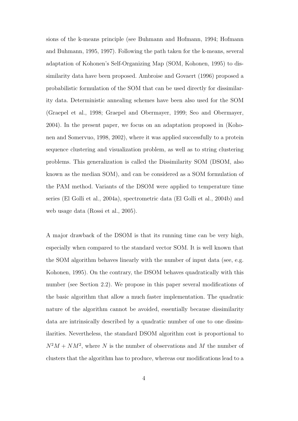sions of the k-means principle (see Buhmann and Hofmann, 1994; Hofmann and Buhmann, 1995, 1997). Following the path taken for the k-means, several adaptation of Kohonen's Self-Organizing Map (SOM, Kohonen, 1995) to dissimilarity data have been proposed. Ambroise and Govaert (1996) proposed a probabilistic formulation of the SOM that can be used directly for dissimilarity data. Deterministic annealing schemes have been also used for the SOM (Graepel et al., 1998; Graepel and Obermayer, 1999; Seo and Obermayer, 2004). In the present paper, we focus on an adaptation proposed in (Kohonen and Somervuo, 1998, 2002), where it was applied successfully to a protein sequence clustering and visualization problem, as well as to string clustering problems. This generalization is called the Dissimilarity SOM (DSOM, also known as the median SOM), and can be considered as a SOM formulation of the PAM method. Variants of the DSOM were applied to temperature time series (El Golli et al., 2004a), spectrometric data (El Golli et al., 2004b) and web usage data (Rossi et al., 2005).

A major drawback of the DSOM is that its running time can be very high, especially when compared to the standard vector SOM. It is well known that the SOM algorithm behaves linearly with the number of input data (see, e.g. Kohonen, 1995). On the contrary, the DSOM behaves quadratically with this number (see Section 2.2). We propose in this paper several modifications of the basic algorithm that allow a much faster implementation. The quadratic nature of the algorithm cannot be avoided, essentially because dissimilarity data are intrinsically described by a quadratic number of one to one dissimilarities. Nevertheless, the standard DSOM algorithm cost is proportional to  $N^2M + NM^2$ , where N is the number of observations and M the number of clusters that the algorithm has to produce, whereas our modifications lead to a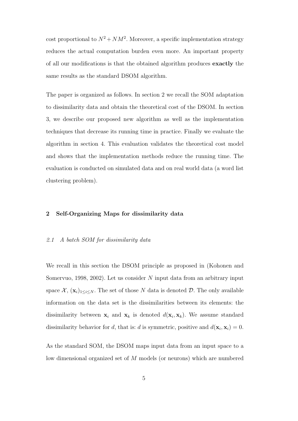cost proportional to  $N^2 + NM^2$ . Moreover, a specific implementation strategy reduces the actual computation burden even more. An important property of all our modifications is that the obtained algorithm produces exactly the same results as the standard DSOM algorithm.

The paper is organized as follows. In section 2 we recall the SOM adaptation to dissimilarity data and obtain the theoretical cost of the DSOM. In section 3, we describe our proposed new algorithm as well as the implementation techniques that decrease its running time in practice. Finally we evaluate the algorithm in section 4. This evaluation validates the theoretical cost model and shows that the implementation methods reduce the running time. The evaluation is conducted on simulated data and on real world data (a word list clustering problem).

# 2 Self-Organizing Maps for dissimilarity data

#### 2.1 A batch SOM for dissimilarity data

We recall in this section the DSOM principle as proposed in (Kohonen and Somervuo, 1998, 2002). Let us consider N input data from an arbitrary input space  $\mathcal{X}, (\mathbf{x}_i)_{1 \leq i \leq N}$ . The set of those N data is denoted D. The only available information on the data set is the dissimilarities between its elements: the dissimilarity between  $x_i$  and  $x_k$  is denoted  $d(x_i, x_k)$ . We assume standard dissimilarity behavior for d, that is: d is symmetric, positive and  $d(\mathbf{x}_i, \mathbf{x}_i) = 0$ .

As the standard SOM, the DSOM maps input data from an input space to a low dimensional organized set of M models (or neurons) which are numbered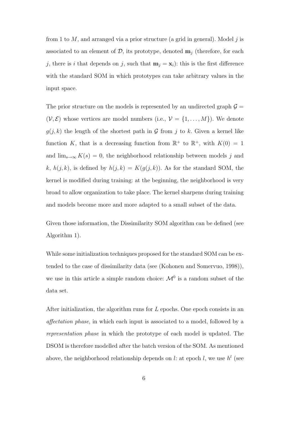from 1 to  $M$ , and arranged via a prior structure (a grid in general). Model j is associated to an element of  $\mathcal{D}$ , its prototype, denoted  $\mathbf{m}_i$  (therefore, for each j, there is i that depends on j, such that  $\mathbf{m}_j = \mathbf{x}_i$ : this is the first difference with the standard SOM in which prototypes can take arbitrary values in the input space.

The prior structure on the models is represented by an undirected graph  $\mathcal{G} =$  $(V, \mathcal{E})$  whose vertices are model numbers (i.e.,  $V = \{1, ..., M\}$ ). We denote  $g(j, k)$  the length of the shortest path in G from j to k. Given a kernel like function K, that is a decreasing function from  $\mathbb{R}^+$  to  $\mathbb{R}^+$ , with  $K(0) = 1$ and  $\lim_{s\to\infty} K(s) = 0$ , the neighborhood relationship between models j and k,  $h(j, k)$ , is defined by  $h(j, k) = K(g(j, k))$ . As for the standard SOM, the kernel is modified during training: at the beginning, the neighborhood is very broad to allow organization to take place. The kernel sharpens during training and models become more and more adapted to a small subset of the data.

Given those information, the Dissimilarity SOM algorithm can be defined (see Algorithm 1).

While some initialization techniques proposed for the standard SOM can be extended to the case of dissimilarity data (see (Kohonen and Somervuo, 1998)), we use in this article a simple random choice:  $\mathcal{M}^0$  is a random subset of the data set.

After initialization, the algorithm runs for  $L$  epochs. One epoch consists in an affectation phase, in which each input is associated to a model, followed by a representation phase in which the prototype of each model is updated. The DSOM is therefore modelled after the batch version of the SOM. As mentioned above, the neighborhood relationship depends on  $l$ : at epoch  $l$ , we use  $h^l$  (see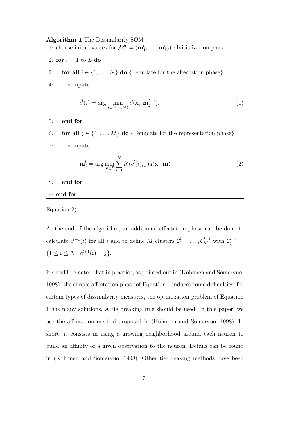# Algorithm 1 The Dissimilarity SOM

1: choose initial values for  $\mathcal{M}^0 = (\mathbf{m}_1^0, \dots, \mathbf{m}_M^0)$  {Initialization phase}

- 2: for  $l = 1$  to L do
- 3: **for all**  $i \in \{1, ..., N\}$  **do** {Template for the affectation phase}
- 4: compute

$$
c^{l}(i) = \arg\min_{j \in \{1, ..., M\}} d(\mathbf{x}_{i}, \mathbf{m}_{j}^{l-1}).
$$
\n(1)

- 5: end for
- 6: **for all**  $j \in \{1, ..., M\}$  **do** {Template for the representation phase}
- 7: compute

$$
\mathbf{m}_j^l = \arg\min_{\mathbf{m}\in\mathcal{D}} \sum_{i=1}^N h^l(c^l(i), j) d(\mathbf{x}_i, \mathbf{m}).
$$
\n(2)

- 8: end for
- 9: end for

## Equation 2).

At the end of the algorithm, an additional affectation phase can be done to calculate  $c^{l+1}(i)$  for all i and to define M clusters  $\mathcal{C}_1^{l+1}, \ldots, \mathcal{C}_M^{l+1}$  with  $\mathcal{C}_j^{l+1}$  ${1 \le i \le N \mid c^{l+1}(i) = j}.$ 

It should be noted that in practice, as pointed out in (Kohonen and Somervuo, 1998), the simple affectation phase of Equation 1 induces some difficulties: for certain types of dissimilarity measures, the optimization problem of Equation 1 has many solutions. A tie breaking rule should be used. In this paper, we use the affectation method proposed in (Kohonen and Somervuo, 1998). In short, it consists in using a growing neighborhood around each neuron to build an affinity of a given observation to the neuron. Details can be found in (Kohonen and Somervuo, 1998). Other tie-breaking methods have been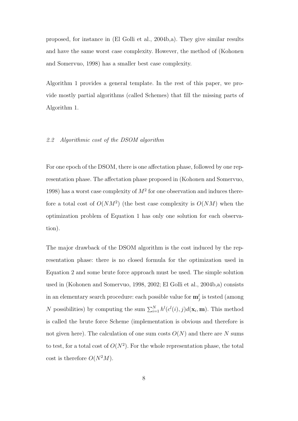proposed, for instance in (El Golli et al., 2004b,a). They give similar results and have the same worst case complexity. However, the method of (Kohonen and Somervuo, 1998) has a smaller best case complexity.

Algorithm 1 provides a general template. In the rest of this paper, we provide mostly partial algorithms (called Schemes) that fill the missing parts of Algorithm 1.

# 2.2 Algorithmic cost of the DSOM algorithm

For one epoch of the DSOM, there is one affectation phase, followed by one representation phase. The affectation phase proposed in (Kohonen and Somervuo, 1998) has a worst case complexity of  $M^2$  for one observation and induces therefore a total cost of  $O(NM^2)$  (the best case complexity is  $O(NM)$  when the optimization problem of Equation 1 has only one solution for each observation).

The major drawback of the DSOM algorithm is the cost induced by the representation phase: there is no closed formula for the optimization used in Equation 2 and some brute force approach must be used. The simple solution used in (Kohonen and Somervuo, 1998, 2002; El Golli et al., 2004b,a) consists in an elementary search procedure: each possible value for  $\mathbf{m}_j^l$  is tested (among N possibilities) by computing the sum  $\sum_{i=1}^{N} h^{l}(c^{l}(i), j)d(\mathbf{x}_{i}, \mathbf{m})$ . This method is called the brute force Scheme (implementation is obvious and therefore is not given here). The calculation of one sum costs  $O(N)$  and there are N sums to test, for a total cost of  $O(N^2)$ . For the whole representation phase, the total cost is therefore  $O(N^2M)$ .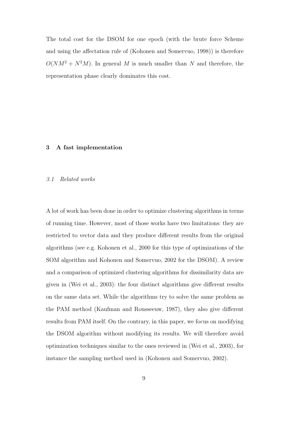The total cost for the DSOM for one epoch (with the brute force Scheme and using the affectation rule of (Kohonen and Somervuo, 1998)) is therefore  $O(NM^2 + N^2M)$ . In general M is much smaller than N and therefore, the representation phase clearly dominates this cost.

# 3 A fast implementation

#### 3.1 Related works

A lot of work has been done in order to optimize clustering algorithms in terms of running time. However, most of those works have two limitations: they are restricted to vector data and they produce different results from the original algorithms (see e.g. Kohonen et al., 2000 for this type of optimizations of the SOM algorithm and Kohonen and Somervuo, 2002 for the DSOM). A review and a comparison of optimized clustering algorithms for dissimilarity data are given in (Wei et al., 2003): the four distinct algorithms give different results on the same data set. While the algorithms try to solve the same problem as the PAM method (Kaufman and Rousseeuw, 1987), they also give different results from PAM itself. On the contrary, in this paper, we focus on modifying the DSOM algorithm without modifying its results. We will therefore avoid optimization techniques similar to the ones reviewed in (Wei et al., 2003), for instance the sampling method used in (Kohonen and Somervuo, 2002).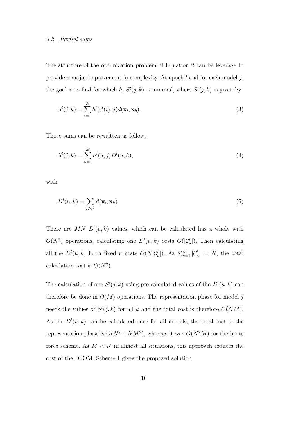#### 3.2 Partial sums

The structure of the optimization problem of Equation 2 can be leverage to provide a major improvement in complexity. At epoch  $l$  and for each model  $j$ , the goal is to find for which k,  $S^l(j,k)$  is minimal, where  $S^l(j,k)$  is given by

$$
S^{l}(j,k) = \sum_{i=1}^{N} h^{l}(c^{l}(i),j)d(\mathbf{x}_{i},\mathbf{x}_{k}).
$$
\n(3)

Those sums can be rewritten as follows

$$
S^{l}(j,k) = \sum_{u=1}^{M} h^{l}(u,j)D^{l}(u,k),
$$
\n(4)

with

$$
D^{l}(u,k) = \sum_{i \in \mathcal{C}_{u}^{l}} d(\mathbf{x}_{i}, \mathbf{x}_{k}).
$$
\n(5)

There are MN  $D^{l}(u, k)$  values, which can be calculated has a whole with  $O(N^2)$  operations: calculating one  $D^l(u,k)$  costs  $O(|\mathcal{C}_u^l|)$ . Then calculating all the  $D^{l}(u, k)$  for a fixed u costs  $O(N|\mathcal{C}_{u}^{l}|)$ . As  $\sum_{u=1}^{M} |\mathcal{C}_{u}^{l}| = N$ , the total calculation cost is  $O(N^2)$ .

The calculation of one  $S^l(j,k)$  using pre-calculated values of the  $D^l(u,k)$  can therefore be done in  $O(M)$  operations. The representation phase for model j needs the values of  $S^l(j,k)$  for all k and the total cost is therefore  $O(NM)$ . As the  $D^{l}(u, k)$  can be calculated once for all models, the total cost of the representation phase is  $O(N^2 + NM^2)$ , whereas it was  $O(N^2M)$  for the brute force scheme. As  $M < N$  in almost all situations, this approach reduces the cost of the DSOM. Scheme 1 gives the proposed solution.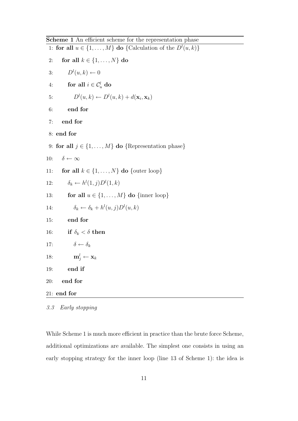Scheme 1 An efficient scheme for the representation phase

| scribing T An emergin scribing for the representation phase                      |
|----------------------------------------------------------------------------------|
| 1: <b>for all</b> $u \in \{1, , M\}$ <b>do</b> {Calculation of the $D^l(u, k)$ } |
| for all $k \in \{1, \ldots, N\}$ do<br>2:                                        |
| $D^l(u,k) \leftarrow 0$<br>3:                                                    |
| for all $i \in C_u^l$ do<br>4:                                                   |
| $D^{l}(u,k) \leftarrow D^{l}(u,k) + d(\mathbf{x}_i,\mathbf{x}_k)$<br>5:          |
| 6:<br>end for                                                                    |
| end for<br>7:                                                                    |
| 8: end for                                                                       |
| 9: for all $j \in \{1, , M\}$ do {Representation phase}                          |
| $\delta \leftarrow \infty$<br>10:                                                |
| for all $k \in \{1, , N\}$ do {outer loop}<br>11:                                |
| $\delta_k \leftarrow h^l(1, j)D^l(1, k)$<br>12:                                  |
| for all $u \in \{1, , M\}$ do {inner loop}<br>13:                                |
| $\delta_k \leftarrow \delta_k + h^l(u, j) D^l(u, k)$<br>14:                      |
| end for<br>15:                                                                   |
| if $\delta_k < \delta$ then<br>16:                                               |
| $\delta \leftarrow \delta_k$<br>17:                                              |
| $\mathbf{m}_i^l \leftarrow \mathbf{x}_k$<br>18:                                  |
| end if<br>19:                                                                    |
| 20:<br>end for                                                                   |
| $21:$ end for                                                                    |
|                                                                                  |

<sup>3.3</sup> Early stopping

While Scheme 1 is much more efficient in practice than the brute force Scheme, additional optimizations are available. The simplest one consists in using an early stopping strategy for the inner loop (line 13 of Scheme 1): the idea is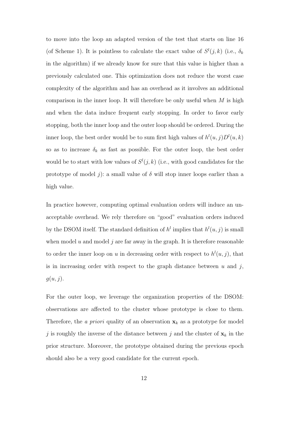to move into the loop an adapted version of the test that starts on line 16 (of Scheme 1). It is pointless to calculate the exact value of  $S^l(j,k)$  (i.e.,  $\delta_k$ in the algorithm) if we already know for sure that this value is higher than a previously calculated one. This optimization does not reduce the worst case complexity of the algorithm and has an overhead as it involves an additional comparison in the inner loop. It will therefore be only useful when  $M$  is high and when the data induce frequent early stopping. In order to favor early stopping, both the inner loop and the outer loop should be ordered. During the inner loop, the best order would be to sum first high values of  $h^l(u, j)D^l(u, k)$ so as to increase  $\delta_k$  as fast as possible. For the outer loop, the best order would be to start with low values of  $S^l(j,k)$  (i.e., with good candidates for the prototype of model j): a small value of  $\delta$  will stop inner loops earlier than a high value.

In practice however, computing optimal evaluation orders will induce an unacceptable overhead. We rely therefore on "good" evaluation orders induced by the DSOM itself. The standard definition of  $h^l$  implies that  $h^l(u, j)$  is small when model  $u$  and model  $j$  are far away in the graph. It is therefore reasonable to order the inner loop on u in decreasing order with respect to  $h^{l}(u, j)$ , that is in increasing order with respect to the graph distance between  $u$  and  $j$ ,  $g(u, j)$ .

For the outer loop, we leverage the organization properties of the DSOM: observations are affected to the cluster whose prototype is close to them. Therefore, the *a priori* quality of an observation  $x_k$  as a prototype for model j is roughly the inverse of the distance between j and the cluster of  $\mathbf{x}_k$  in the prior structure. Moreover, the prototype obtained during the previous epoch should also be a very good candidate for the current epoch.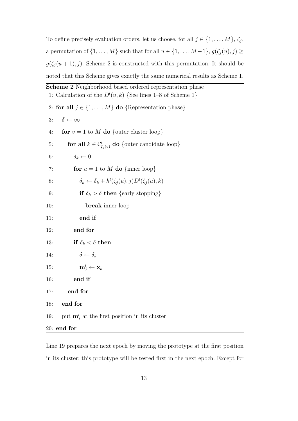To define precisely evaluation orders, let us choose, for all  $j \in \{1, \ldots, M\}, \zeta_j$ , a permutation of  $\{1, \ldots, M\}$  such that for all  $u \in \{1, \ldots, M-1\}$ ,  $g(\zeta_j(u), j) \geq 1$  $g(\zeta_j(u+1),j)$ . Scheme 2 is constructed with this permutation. It should be noted that this Scheme gives exactly the same numerical results as Scheme 1.

| <b>Scheme 2</b> Neighborhood based ordered representation phase                |
|--------------------------------------------------------------------------------|
| 1: Calculation of the $D^l(u,k)$ {See lines 1-8 of Scheme 1}                   |
| 2: for all $j \in \{1, , M\}$ do {Representation phase}                        |
| $\delta \leftarrow \infty$<br>3:                                               |
| for $v = 1$ to M do {outer cluster loop}<br>4:                                 |
| <b>for all</b> $k \in C^l_{\zeta_i(v)}$ <b>do</b> {outer candidate loop}<br>5: |
| $\delta_k \leftarrow 0$<br>6:                                                  |
| for $u = 1$ to M do {inner loop}<br>7:                                         |
| $\delta_k \leftarrow \delta_k + h^l(\zeta_i(u), j)D^l(\zeta_i(u), k)$<br>8:    |
| if $\delta_k > \delta$ then {early stopping}<br>9:                             |
| break inner loop<br>10:                                                        |
| end if<br>11:                                                                  |
| end for<br>12:                                                                 |
| if $\delta_k < \delta$ then<br>13:                                             |
| $\delta \leftarrow \delta_k$<br>14:                                            |
| $\mathbf{m}_i^l \leftarrow \mathbf{x}_k$<br>15:                                |
| end if<br>16:                                                                  |
| end for<br>17:                                                                 |
| end for<br>18:                                                                 |
| put $\mathbf{m}_j^l$ at the first position in its cluster<br>19:               |
| $20:$ end for                                                                  |
|                                                                                |

Line 19 prepares the next epoch by moving the prototype at the first position in its cluster: this prototype will be tested first in the next epoch. Except for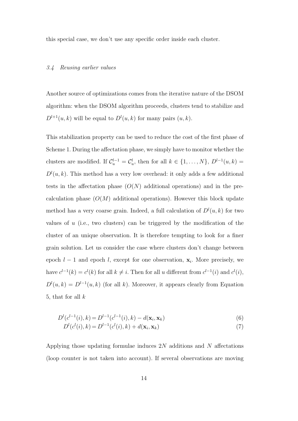this special case, we don't use any specific order inside each cluster.

#### 3.4 Reusing earlier values

Another source of optimizations comes from the iterative nature of the DSOM algorithm: when the DSOM algorithm proceeds, clusters tend to stabilize and  $D^{l+1}(u,k)$  will be equal to  $D^{l}(u,k)$  for many pairs  $(u,k)$ .

This stabilization property can be used to reduce the cost of the first phase of Scheme 1. During the affectation phase, we simply have to monitor whether the clusters are modified. If  $\mathcal{C}_u^{l-1} = \mathcal{C}_u^l$ , then for all  $k \in \{1, ..., N\}$ ,  $D^{l-1}(u, k) =$  $D^{l}(u, k)$ . This method has a very low overhead: it only adds a few additional tests in the affectation phase  $(O(N))$  additional operations) and in the precalculation phase  $(O(M)$  additional operations). However this block update method has a very coarse grain. Indeed, a full calculation of  $D^{l}(u, k)$  for two values of  $u$  (i.e., two clusters) can be triggered by the modification of the cluster of an unique observation. It is therefore tempting to look for a finer grain solution. Let us consider the case where clusters don't change between epoch  $l-1$  and epoch l, except for one observation,  $\mathbf{x}_i$ . More precisely, we have  $c^{l-1}(k) = c^{l}(k)$  for all  $k \neq i$ . Then for all u different from  $c^{l-1}(i)$  and  $c^{l}(i)$ ,  $D^{l}(u,k) = D^{l-1}(u,k)$  (for all k). Moreover, it appears clearly from Equation 5, that for all  $k$ 

$$
D^{l}(c^{l-1}(i),k) = D^{l-1}(c^{l-1}(i),k) - d(\mathbf{x}_{i}, \mathbf{x}_{k})
$$
\n(6)

$$
D^{l}(c^{l}(i), k) = D^{l-1}(c^{l}(i), k) + d(\mathbf{x}_{i}, \mathbf{x}_{k})
$$
\n(7)

Applying those updating formulae induces 2N additions and N affectations (loop counter is not taken into account). If several observations are moving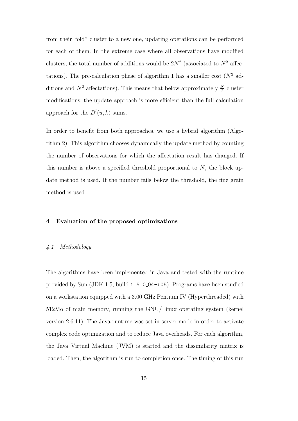from their "old" cluster to a new one, updating operations can be performed for each of them. In the extreme case where all observations have modified clusters, the total number of additions would be  $2N^2$  (associated to  $N^2$  affectations). The pre-calculation phase of algorithm 1 has a smaller cost  $(N^2 \text{ ad-}$ ditions and  $N^2$  affectations). This means that below approximately  $\frac{N}{2}$  cluster modifications, the update approach is more efficient than the full calculation approach for the  $D^{l}(u, k)$  sums.

In order to benefit from both approaches, we use a hybrid algorithm (Algorithm 2). This algorithm chooses dynamically the update method by counting the number of observations for which the affectation result has changed. If this number is above a specified threshold proportional to  $N$ , the block update method is used. If the number fails below the threshold, the fine grain method is used.

# 4 Evaluation of the proposed optimizations

#### 4.1 Methodology

The algorithms have been implemented in Java and tested with the runtime provided by Sun (JDK 1.5, build 1.5.0 04-b05). Programs have been studied on a workstation equipped with a 3.00 GHz Pentium IV (Hyperthreaded) with 512Mo of main memory, running the GNU/Linux operating system (kernel version 2.6.11). The Java runtime was set in server mode in order to activate complex code optimization and to reduce Java overheads. For each algorithm, the Java Virtual Machine (JVM) is started and the dissimilarity matrix is loaded. Then, the algorithm is run to completion once. The timing of this run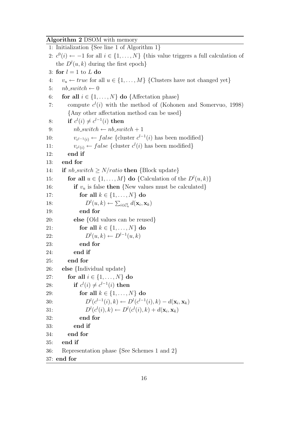Algorithm 2 DSOM with memory

|            | 1: Initialization $\{$ See line 1 of Algorithm 1 $\}$                                           |
|------------|-------------------------------------------------------------------------------------------------|
|            | 2: $c^0(i) \leftarrow -1$ for all $i \in \{1, , N\}$ {this value triggers a full calculation of |
|            | the $D^{l}(u, k)$ during the first epoch}                                                       |
|            | 3: for $l = 1$ to L do                                                                          |
| 4:         | $v_u \leftarrow true$ for all $u \in \{1, , M\}$ {Clusters have not changed yet}                |
| 5:         | $nb\_switch \leftarrow 0$                                                                       |
| 6:         | for all $i \in \{1, , N\}$ do {Affectation phase}                                               |
| 7:         | compute $c^{(i)}$ with the method of (Kohonen and Somervuo, 1998)                               |
|            | {Any other affectation method can be used}                                                      |
| 8:         | if $c^{(i)} \neq c^{i-1}(i)$ then                                                               |
| 9:         | $nb\_switch \leftarrow nb\_switch + 1$                                                          |
| 10:        | $v_{c^{l-1}(i)} \leftarrow false$ {cluster $c^{l-1}(i)$ has been modified}                      |
| 11:        | $v_{c^l(i)} \leftarrow false$ {cluster $c^l(i)$ has been modified}                              |
| 12:        | end if                                                                                          |
| 13:        | end for                                                                                         |
| 14:        | if $nb\_switch \geq N/ratio$ then {Block update}                                                |
| 15:        | for all $u \in \{1, , M\}$ do {Calculation of the $D^l(u, k)$ }                                 |
| 16:        | if $v_u$ is false then {New values must be calculated}                                          |
| 17:        | for all $k \in \{1, \ldots, N\}$ do                                                             |
| 18:        | $D^l(u,k) \leftarrow \sum_{i \in \mathcal{C}_u^l} d(\mathbf{x}_i, \mathbf{x}_k)$                |
| 19:        | end for                                                                                         |
| <b>20:</b> | <b>else</b> {Old values can be reused}                                                          |
| 21:        | for all $k \in \{1, \ldots, N\}$ do                                                             |
| 22:        | $D^{l}(u,k) \leftarrow D^{l-1}(u,k)$                                                            |
| <b>23:</b> | end for                                                                                         |
| 24:        | end if                                                                                          |
| <b>25:</b> | end for                                                                                         |
| 26:        | else {Individual update}                                                                        |
| 27:        | for all $i \in \{1, \ldots, N\}$ do                                                             |
| 28:        | if $c^l(i) \neq c^{l-1}(i)$ then                                                                |
| 29:        | for all $k \in \{1, \ldots, N\}$ do                                                             |
| 30:        | $D^{l}(c^{l-1}(i), k) \leftarrow D^{l}(c^{l-1}(i), k) - d(\mathbf{x}_{i}, \mathbf{x}_{k})$      |
| 31:        | $D^{l}(c^{l}(i), k) \leftarrow D^{l}(c^{l}(i), k) + d(\mathbf{x}_{i}, \mathbf{x}_{k})$          |
| 32:        | end for                                                                                         |
| 33:        | end if                                                                                          |
| 34:        | end for                                                                                         |
| 35:        | end if                                                                                          |
| 36:        | Representation phase $\{See \, Schemes 1 \, and \, 2\}$                                         |
|            | 37: end for                                                                                     |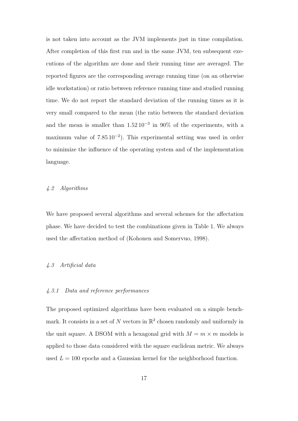is not taken into account as the JVM implements just in time compilation. After completion of this first run and in the same JVM, ten subsequent executions of the algorithm are done and their running time are averaged. The reported figures are the corresponding average running time (on an otherwise idle workstation) or ratio between reference running time and studied running time. We do not report the standard deviation of the running times as it is very small compared to the mean (the ratio between the standard deviation and the mean is smaller than  $1.52 \times 10^{-3}$  in 90% of the experiments, with a maximum value of 7.85 10<sup>−</sup><sup>2</sup> ). This experimental setting was used in order to minimize the influence of the operating system and of the implementation language.

# 4.2 Algorithms

We have proposed several algorithms and several schemes for the affectation phase. We have decided to test the combinations given in Table 1. We always used the affectation method of (Kohonen and Somervuo, 1998).

# 4.3 Artificial data

#### 4.3.1 Data and reference performances

The proposed optimized algorithms have been evaluated on a simple benchmark. It consists in a set of N vectors in  $\mathbb{R}^2$  chosen randomly and uniformly in the unit square. A DSOM with a hexagonal grid with  $M = m \times m$  models is applied to those data considered with the square euclidean metric. We always used  $L = 100$  epochs and a Gaussian kernel for the neighborhood function.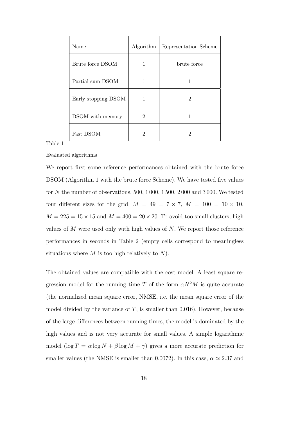| Name                | Algorithm | Representation Scheme |
|---------------------|-----------|-----------------------|
| Brute force DSOM    | 1         | brute force           |
| Partial sum DSOM    | 1         | 1                     |
| Early stopping DSOM |           | 2                     |
| DSOM with memory    | 2         |                       |
| Fast DSOM           | 2         | 2                     |

Table 1

Evaluated algorithms

We report first some reference performances obtained with the brute force DSOM (Algorithm 1 with the brute force Scheme). We have tested five values for N the number of observations, 500, 1 000, 1 500, 2 000 and 3 000. We tested four different sizes for the grid,  $M = 49 = 7 \times 7$ ,  $M = 100 = 10 \times 10$ ,  $M = 225 = 15 \times 15$  and  $M = 400 = 20 \times 20$ . To avoid too small clusters, high values of M were used only with high values of N. We report those reference performances in seconds in Table 2 (empty cells correspond to meaningless situations where  $M$  is too high relatively to  $N$ ).

The obtained values are compatible with the cost model. A least square regression model for the running time T of the form  $\alpha N^2 M$  is quite accurate (the normalized mean square error, NMSE, i.e. the mean square error of the model divided by the variance of  $T$ , is smaller than 0.016). However, because of the large differences between running times, the model is dominated by the high values and is not very accurate for small values. A simple logarithmic model  $(\log T = \alpha \log N + \beta \log M + \gamma)$  gives a more accurate prediction for smaller values (the NMSE is smaller than 0.0072). In this case,  $\alpha \simeq 2.37$  and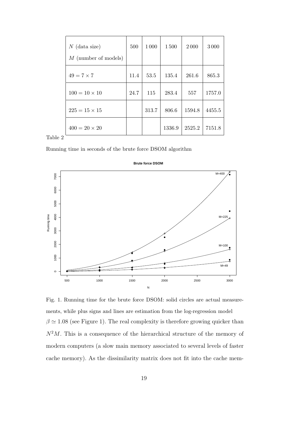| $N$ (data size)<br>$M$ (number of models) | 500  | 1 0 0 0 | 1500   | 2000   | 3000   |
|-------------------------------------------|------|---------|--------|--------|--------|
| $49 = 7 \times 7$                         | 11.4 | 53.5    | 135.4  | 261.6  | 865.3  |
| $100 = 10 \times 10$                      | 24.7 | 115     | 283.4  | 557    | 1757.0 |
|                                           |      |         |        |        |        |
| $225 = 15 \times 15$                      |      | 313.7   | 806.6  | 1594.8 | 4455.5 |
| $400 = 20 \times 20$                      |      |         | 1336.9 | 2525.2 | 7151.8 |

Table 2

Running time in seconds of the brute force DSOM algorithm



Fig. 1. Running time for the brute force DSOM: solid circles are actual measurements, while plus signs and lines are estimation from the log-regression model  $\beta \simeq 1.08$  (see Figure 1). The real complexity is therefore growing quicker than  $N^2M$ . This is a consequence of the hierarchical structure of the memory of modern computers (a slow main memory associated to several levels of faster cache memory). As the dissimilarity matrix does not fit into the cache mem-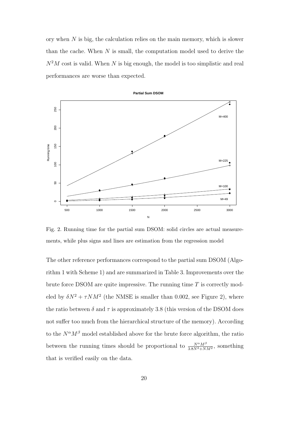ory when  $N$  is big, the calculation relies on the main memory, which is slower than the cache. When  $N$  is small, the computation model used to derive the  $N^2M$  cost is valid. When N is big enough, the model is too simplistic and real performances are worse than expected.



Fig. 2. Running time for the partial sum DSOM: solid circles are actual measurements, while plus signs and lines are estimation from the regression model

The other reference performances correspond to the partial sum DSOM (Algorithm 1 with Scheme 1) and are summarized in Table 3. Improvements over the brute force DSOM are quite impressive. The running time  $T$  is correctly modeled by  $\delta N^2 + \tau N M^2$  (the NMSE is smaller than 0.002, see Figure 2), where the ratio between  $\delta$  and  $\tau$  is approximately 3.8 (this version of the DSOM does not suffer too much from the hierarchical structure of the memory). According to the  $N^{\alpha}M^{\beta}$  model established above for the brute force algorithm, the ratio between the running times should be proportional to  $\frac{N^{\alpha}M^{\beta}}{3.8N^2 + NM^2}$ , something that is verified easily on the data.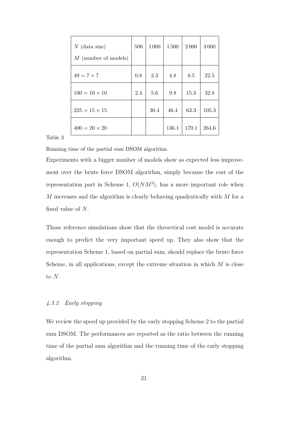| $N$ (data size)<br>$M$ (number of models) | 500 | 1000 | 1500  | 2000  | 3000  |
|-------------------------------------------|-----|------|-------|-------|-------|
| $49 = 7 \times 7$                         | 0.8 | 2.3  | 4.8   | 8.5   | 22.5  |
| $100 = 10 \times 10$                      | 2.4 | 5.6  | 9.8   | 15.3  | 32.8  |
| $225 = 15 \times 15$                      |     | 30.4 | 46.4  | 63.3  | 105.3 |
| $400 = 20 \times 20$                      |     |      | 136.1 | 179.1 | 264.6 |

Table 3

Running time of the partial sum DSOM algorithm

Experiments with a bigger number of models show as expected less improvement over the brute force DSOM algorithm, simply because the cost of the representation part in Scheme 1,  $O(NM^2)$ , has a more important role when  $M$  increases and the algorithm is clearly behaving quadratically with  $M$  for a fixed value of N.

Those reference simulations show that the theoretical cost model is accurate enough to predict the very important speed up. They also show that the representation Scheme 1, based on partial sum, should replace the brute force Scheme, in all applications, except the extreme situation in which  $M$  is close to  $N$ .

# 4.3.2 Early stopping

We review the speed up provided by the early stopping Scheme 2 to the partial sum DSOM. The performances are reported as the ratio between the running time of the partial sum algorithm and the running time of the early stopping algorithm.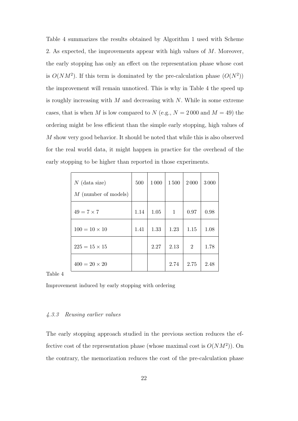Table 4 summarizes the results obtained by Algorithm 1 used with Scheme 2. As expected, the improvements appear with high values of M. Moreover, the early stopping has only an effect on the representation phase whose cost is  $O(NM^2)$ . If this term is dominated by the pre-calculation phase  $(O(N^2))$ the improvement will remain unnoticed. This is why in Table 4 the speed up is roughly increasing with  $M$  and decreasing with  $N$ . While in some extreme cases, that is when M is low compared to N (e.g.,  $N = 2000$  and  $M = 49$ ) the ordering might be less efficient than the simple early stopping, high values of M show very good behavior. It should be noted that while this is also observed for the real world data, it might happen in practice for the overhead of the early stopping to be higher than reported in those experiments.

| $N$ (data size)<br>$M$ (number of models) | 500  | 1 0 0 0 | 1500         | 2000           | 3000 |
|-------------------------------------------|------|---------|--------------|----------------|------|
| $49 = 7 \times 7$                         | 1.14 | 1.05    | $\mathbf{1}$ | 0.97           | 0.98 |
| $100 = 10 \times 10$                      | 1.41 | 1.33    | 1.23         | 1.15           | 1.08 |
| $225 = 15 \times 15$                      |      | 2.27    | 2.13         | $\overline{2}$ | 1.78 |
| $400 = 20 \times 20$                      |      |         | 2.74         | 2.75           | 2.48 |

Table 4

Improvement induced by early stopping with ordering

# 4.3.3 Reusing earlier values

The early stopping approach studied in the previous section reduces the effective cost of the representation phase (whose maximal cost is  $O(NM^2)$ ). On the contrary, the memorization reduces the cost of the pre-calculation phase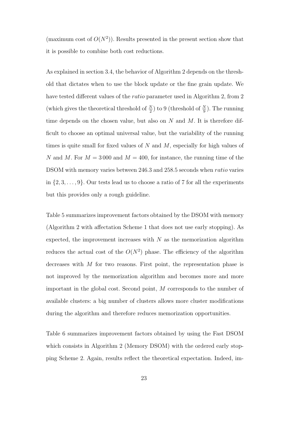(maximum cost of  $O(N^2)$ ). Results presented in the present section show that it is possible to combine both cost reductions.

As explained in section 3.4, the behavior of Algorithm 2 depends on the threshold that dictates when to use the block update or the fine grain update. We have tested different values of the *ratio* parameter used in Algorithm 2, from 2 (which gives the theoretical threshold of  $\frac{N}{2}$ ) to 9 (threshold of  $\frac{N}{9}$ ). The running time depends on the chosen value, but also on  $N$  and  $M$ . It is therefore difficult to choose an optimal universal value, but the variability of the running times is quite small for fixed values of  $N$  and  $M$ , especially for high values of N and M. For  $M = 3000$  and  $M = 400$ , for instance, the running time of the DSOM with memory varies between 246.3 and 258.5 seconds when *ratio* varies in  $\{2, 3, \ldots, 9\}$ . Our tests lead us to choose a ratio of 7 for all the experiments but this provides only a rough guideline.

Table 5 summarizes improvement factors obtained by the DSOM with memory (Algorithm 2 with affectation Scheme 1 that does not use early stopping). As expected, the improvement increases with  $N$  as the memorization algorithm reduces the actual cost of the  $O(N^2)$  phase. The efficiency of the algorithm decreases with  $M$  for two reasons. First point, the representation phase is not improved by the memorization algorithm and becomes more and more important in the global cost. Second point, M corresponds to the number of available clusters: a big number of clusters allows more cluster modifications during the algorithm and therefore reduces memorization opportunities.

Table 6 summarizes improvement factors obtained by using the Fast DSOM which consists in Algorithm 2 (Memory DSOM) with the ordered early stopping Scheme 2. Again, results reflect the theoretical expectation. Indeed, im-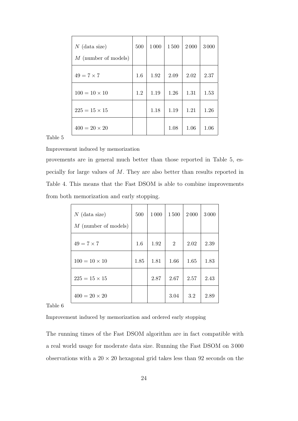| $N$ (data size)<br>$M$ (number of models) | 500 | 1 0 0 0 | 1500 | 2000 | 3000 |
|-------------------------------------------|-----|---------|------|------|------|
| $49 = 7 \times 7$                         | 1.6 | 1.92    | 2.09 | 2.02 | 2.37 |
| $100 = 10 \times 10$                      | 1.2 | 1.19    | 1.26 | 1.31 | 1.53 |
| $225 = 15 \times 15$                      |     | 1.18    | 1.19 | 1.21 | 1.26 |
| $400 = 20 \times 20$                      |     |         | 1.08 | 1.06 | 1.06 |

Table 5

Improvement induced by memorization

provements are in general much better than those reported in Table 5, especially for large values of M. They are also better than results reported in Table 4. This means that the Fast DSOM is able to combine improvements from both memorization and early stopping.

| $N$ (data size)<br>$M$ (number of models) | 500  | 1 0 0 0 | 1500           | 2000 | 3000 |
|-------------------------------------------|------|---------|----------------|------|------|
|                                           |      |         |                |      |      |
| $49 = 7 \times 7$                         | 1.6  | 1.92    | $\overline{2}$ | 2.02 | 2.39 |
| $100 = 10 \times 10$                      | 1.85 | 1.81    | 1.66           | 1.65 | 1.83 |
| $225 = 15 \times 15$                      |      | 2.87    | 2.67           | 2.57 | 2.43 |
| $400 = 20 \times 20$                      |      |         | 3.04           | 3.2  | 2.89 |

Table 6

Improvement induced by memorization and ordered early stopping

The running times of the Fast DSOM algorithm are in fact compatible with a real world usage for moderate data size. Running the Fast DSOM on 3 000 observations with a  $20 \times 20$  hexagonal grid takes less than 92 seconds on the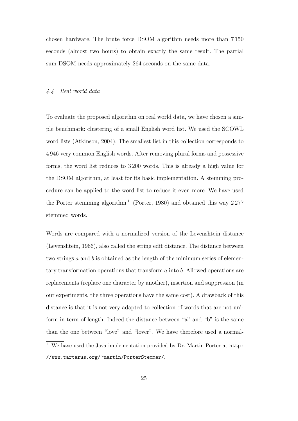chosen hardware. The brute force DSOM algorithm needs more than 7 150 seconds (almost two hours) to obtain exactly the same result. The partial sum DSOM needs approximately 264 seconds on the same data.

# 4.4 Real world data

To evaluate the proposed algorithm on real world data, we have chosen a simple benchmark: clustering of a small English word list. We used the SCOWL word lists (Atkinson, 2004). The smallest list in this collection corresponds to 4 946 very common English words. After removing plural forms and possessive forms, the word list reduces to 3 200 words. This is already a high value for the DSOM algorithm, at least for its basic implementation. A stemming procedure can be applied to the word list to reduce it even more. We have used the Porter stemming algorithm<sup>1</sup> (Porter, 1980) and obtained this way  $2277$ stemmed words.

Words are compared with a normalized version of the Levenshtein distance (Levenshtein, 1966), also called the string edit distance. The distance between two strings  $a$  and  $b$  is obtained as the length of the minimum series of elementary transformation operations that transform a into b. Allowed operations are replacements (replace one character by another), insertion and suppression (in our experiments, the three operations have the same cost). A drawback of this distance is that it is not very adapted to collection of words that are not uniform in term of length. Indeed the distance between "a" and "b" is the same than the one between "love" and "lover". We have therefore used a normal- $\overline{1}$  We have used the Java implementation provided by Dr. Martin Porter at http:

<sup>//</sup>www.tartarus.org/∼martin/PorterStemmer/.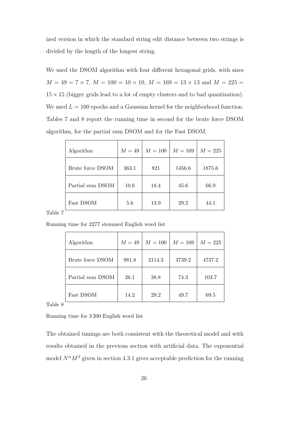ized version in which the standard string edit distance between two strings is divided by the length of the longest string.

We used the DSOM algorithm with four different hexagonal grids, with sizes  $M = 49 = 7 \times 7, M = 100 = 10 \times 10, M = 169 = 13 \times 13$  and  $M = 225 =$  $15 \times 15$  (bigger grids lead to a lot of empty clusters and to bad quantization). We used  $L = 100$  epochs and a Gaussian kernel for the neighborhood function. Tables 7 and 8 report the running time in second for the brute force DSOM algorithm, for the partial sum DSOM and for the Fast DSOM.

| Algorithm        | $M=49$ | $M=100$ | $M = 169$ | $M=225$ |
|------------------|--------|---------|-----------|---------|
| Brute force DSOM | 363.1  | 821     | 1456.6    | 1875.6  |
| Partial sum DSOM | 10.6   | 18.4    | 45.6      | 66.9    |
| Fast DSOM        | 5.6    | 13.9    | 29.2      | 44.1    |

Table 7

Running time for 2277 stemmed English word list

| Algorithm        | $M=49$ | $M=100$ | $M=169$ | $M=225$ |
|------------------|--------|---------|---------|---------|
| Brute force DSOM | 981.8  | 2114.3  | 3739.2  | 4737.2  |
| Partial sum DSOM | 26.1   | 38.8    | 74.3    | 103.7   |
| Fast DSOM        | 14.2   | 29.2    | 49.7    | 69.5    |

Table 8

Running time for 3 200 English word list

The obtained timings are both consistent with the theoretical model and with results obtained in the previous section with artificial data. The exponential model  $N^{\alpha}M^{\beta}$  given in section 4.3.1 gives acceptable prediction for the running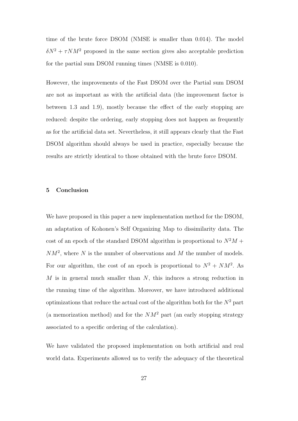time of the brute force DSOM (NMSE is smaller than 0.014). The model  $\delta N^2 + \tau N M^2$  proposed in the same section gives also acceptable prediction for the partial sum DSOM running times (NMSE is 0.010).

However, the improvements of the Fast DSOM over the Partial sum DSOM are not as important as with the artificial data (the improvement factor is between 1.3 and 1.9), mostly because the effect of the early stopping are reduced: despite the ordering, early stopping does not happen as frequently as for the artificial data set. Nevertheless, it still appears clearly that the Fast DSOM algorithm should always be used in practice, especially because the results are strictly identical to those obtained with the brute force DSOM.

## 5 Conclusion

We have proposed in this paper a new implementation method for the DSOM, an adaptation of Kohonen's Self Organizing Map to dissimilarity data. The cost of an epoch of the standard DSOM algorithm is proportional to  $N^2M$  +  $NM^2$ , where N is the number of observations and M the number of models. For our algorithm, the cost of an epoch is proportional to  $N^2 + NM^2$ . As  $M$  is in general much smaller than  $N$ , this induces a strong reduction in the running time of the algorithm. Moreover, we have introduced additional optimizations that reduce the actual cost of the algorithm both for the  $N^2$  part (a memorization method) and for the  $NM^2$  part (an early stopping strategy associated to a specific ordering of the calculation).

We have validated the proposed implementation on both artificial and real world data. Experiments allowed us to verify the adequacy of the theoretical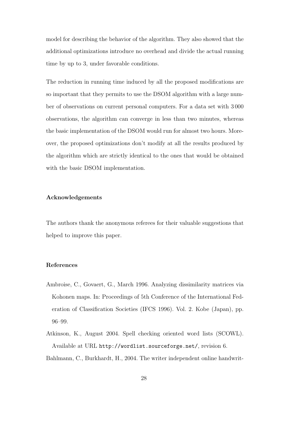model for describing the behavior of the algorithm. They also showed that the additional optimizations introduce no overhead and divide the actual running time by up to 3, under favorable conditions.

The reduction in running time induced by all the proposed modifications are so important that they permits to use the DSOM algorithm with a large number of observations on current personal computers. For a data set with 3 000 observations, the algorithm can converge in less than two minutes, whereas the basic implementation of the DSOM would run for almost two hours. Moreover, the proposed optimizations don't modify at all the results produced by the algorithm which are strictly identical to the ones that would be obtained with the basic DSOM implementation.

# Acknowledgements

The authors thank the anonymous referees for their valuable suggestions that helped to improve this paper.

# References

- Ambroise, C., Govaert, G., March 1996. Analyzing dissimilarity matrices via Kohonen maps. In: Proceedings of 5th Conference of the International Federation of Classification Societies (IFCS 1996). Vol. 2. Kobe (Japan), pp. 96–99.
- Atkinson, K., August 2004. Spell checking oriented word lists (SCOWL). Available at URL http://wordlist.sourceforge.net/, revision 6.

Bahlmann, C., Burkhardt, H., 2004. The writer independent online handwrit-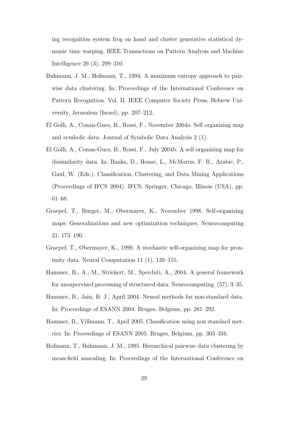ing recognition system frog on hand and cluster generative statistical dynamic time warping. IEEE Transactions on Pattern Analysis and Machine Intelligence 26 (3), 299–310.

- Buhmann, J. M., Hofmann, T., 1994. A maximum entropy approach to pairwise data clustering. In: Proceedings of the International Conference on Pattern Recognition. Vol. II. IEEE Computer Society Press, Hebrew University, Jerusalem (Israel), pp. 207–212.
- El Golli, A., Conan-Guez, B., Rossi, F., November 2004a. Self organizing map and symbolic data. Journal of Symbolic Data Analysis 2 (1).
- El Golli, A., Conan-Guez, B., Rossi, F., July 2004b. A self organizing map for dissimilarity data. In: Banks, D., House, L., McMorris, F. R., Arabie, P., Gaul, W. (Eds.), Classification, Clustering, and Data Mining Applications (Proceedings of IFCS 2004). IFCS, Springer, Chicago, Illinois (USA), pp. 61–68.
- Graepel, T., Burger, M., Obermayer, K., November 1998. Self-organizing maps: Generalizations and new optimization techniques. Neurocomputing 21, 173–190.
- Graepel, T., Obermayer, K., 1999. A stochastic self-organizing map for proximity data. Neural Computation 11 (1), 139–155.
- Hammer, B., A., M., Strickert, M., Sperduti, A., 2004. A general framework for unsupervised processing of structured data. Neurocomputing (57), 3–35.
- Hammer, B., Jain, B. J., April 2004. Neural methods for non-standard data. In: Proceedings of ESANN 2004. Bruges, Belgium, pp. 281–292.
- Hammer, B., Villmann, T., April 2005. Classification using non standard metrics. In: Proceedings of ESANN 2005. Bruges, Belgium, pp. 303–316.
- Hofmann, T., Buhmann, J. M., 1995. Hierarchical pairwise data clustering by mean-field annealing. In: Proceedings of the International Conference on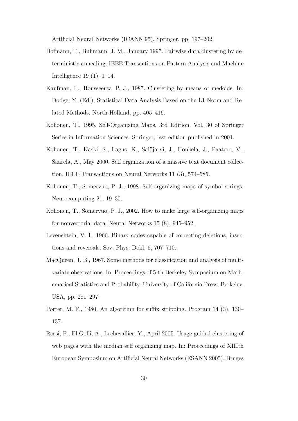Artificial Neural Networks (ICANN'95). Springer, pp. 197–202.

- Hofmann, T., Buhmann, J. M., January 1997. Pairwise data clustering by deterministic annealing. IEEE Transactions on Pattern Analysis and Machine Intelligence 19 (1), 1–14.
- Kaufman, L., Rousseeuw, P. J., 1987. Clustering by means of medoids. In: Dodge, Y. (Ed.), Statistical Data Analysis Based on the L1-Norm and Related Methods. North-Holland, pp. 405–416.
- Kohonen, T., 1995. Self-Organizing Maps, 3rd Edition. Vol. 30 of Springer Series in Information Sciences. Springer, last edition published in 2001.
- Kohonen, T., Kaski, S., Lagus, K., Salöjarvi, J., Honkela, J., Paatero, V., Saarela, A., May 2000. Self organization of a massive text document collection. IEEE Transactions on Neural Networks 11 (3), 574–585.
- Kohonen, T., Somervuo, P. J., 1998. Self-organizing maps of symbol strings. Neurocomputing 21, 19–30.
- Kohonen, T., Somervuo, P. J., 2002. How to make large self-organizing maps for nonvectorial data. Neural Networks 15 (8), 945–952.
- Levenshtein, V. I., 1966. Binary codes capable of correcting deletions, insertions and reversals. Sov. Phys. Dokl. 6, 707–710.
- MacQueen, J. B., 1967. Some methods for classification and analysis of multivariate observations. In: Proceedings of 5-th Berkeley Symposium on Mathematical Statistics and Probability. University of California Press, Berkeley, USA, pp. 281–297.
- Porter, M. F., 1980. An algorithm for suffix stripping. Program 14 (3), 130– 137.
- Rossi, F., El Golli, A., Lechevallier, Y., April 2005. Usage guided clustering of web pages with the median self organizing map. In: Proceedings of XIIIth European Symposium on Artificial Neural Networks (ESANN 2005). Bruges